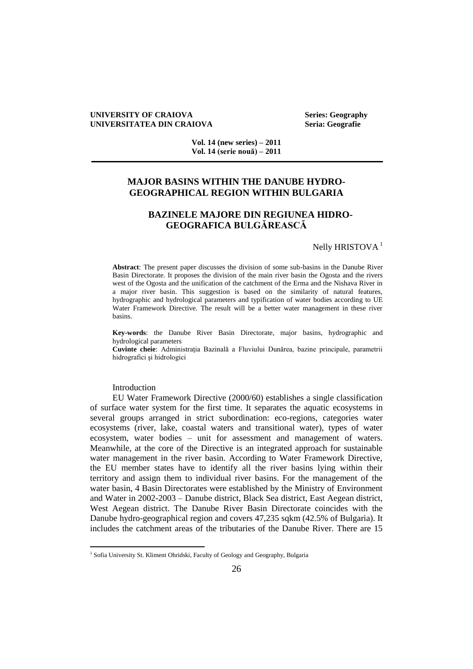#### **UNIVERSITY OF CRAIOVA** Series: Geography<br>
UNIVERSITATEA DIN CRAIOVA Seria: Geografie **UNIVERSITATEA DIN CRAIOVA**

**Vol. 14 (new series) – 2011 Vol. 14 (serie nouă) – 2011**

# **MAJOR BASINS WITHIN THE DANUBE HYDRO-GEOGRAPHICAL REGION WITHIN BULGARIA**

# **BAZINELE MAJORE DIN REGIUNEA HIDRO-GEOGRAFICA BULGĂREASCĂ**

## Nelly HRISTOVA<sup>1</sup>

**Abstract**: The present paper discusses the division of some sub-basins in the Danube River Basin Directorate. It proposes the division of the main river basin the Ogosta and the rivers west of the Ogosta and the unification of the catchment of the Erma and the Nishava River in a major river basin. This suggestion is based on the similarity of natural features, hydrographic and hydrological parameters and typification of water bodies according to UE Water Framework Directive. The result will be a better water management in these river basins.

**Key-words**: the Danube River Basin Directorate, major basins, hydrographic and hydrological parameters

**Cuvinte cheie**: Administraţia Bazinală a Fluviului Dunărea, bazine principale, parametrii hidrografici şi hidrologici

Introduction

EU Water Framework Directive (2000/60) establishes a single classification of surface water system for the first time. It separates the aquatic ecosystems in several groups arranged in strict subordination: eco-regions, categories water ecosystems (river, lake, coastal waters and transitional water), types of water ecosystem, water bodies – unit for assessment and management of waters. Meanwhile, at the core of the Directive is an integrated approach for sustainable water management in the river basin. According to Water Framework Directive, the EU member states have to identify all the river basins lying within their territory and assign them to individual river basins. For the management of the water basin, 4 Basin Directorates were established by the Ministry of Environment and Water in 2002-2003 – Danube district, Black Sea district, East Aegean district, West Aegean district. The Danube River Basin Directorate coincides with the Danube hydro-geographical region and covers 47,235 sqkm (42.5% of Bulgaria). It includes the catchment areas of the tributaries of the Danube River. There are 15

<sup>&</sup>lt;sup>1</sup> Sofia University St. Kliment Ohridski, Faculty of Geology and Geography, Bulgaria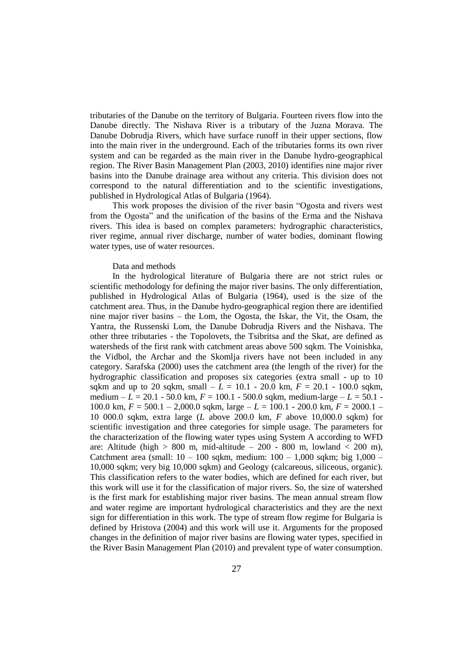tributaries of the Danube on the territory of Bulgaria. Fourteen rivers flow into the Danube directly. The Nishava River is a tributary of the Juzna Morava. The Danube Dobrudja Rivers, which have surface runoff in their upper sections, flow into the main river in the underground. Each of the tributaries forms its own river system and can be regarded as the main river in the Danube hydro-geographical region. The River Basin Management Plan (2003, 2010) identifies nine major river basins into the Danube drainage area without any criteria. This division does not correspond to the natural differentiation and to the scientific investigations, published in Hydrological Atlas of Bulgaria (1964).

This work proposes the division of the river basin "Ogosta and rivers west from the Ogosta" and the unification of the basins of the Erma and the Nishava rivers. This idea is based on complex parameters: hydrographic characteristics, river regime, annual river discharge, number of water bodies, dominant flowing water types, use of water resources.

## Data and methods

In the hydrological literature of Bulgaria there are not strict rules or scientific methodology for defining the major river basins. The only differentiation, published in Hydrological Atlas of Bulgaria (1964), used is the size of the catchment area. Thus, in the Danube hydro-geographical region there are identified nine major river basins – the Lom, the Ogosta, the Iskar, the Vit, the Osam, the Yantra, the Russenski Lom, the Danube Dobrudja Rivers and the Nishava. The other three tributaries - the Topolovets, the Tsibritsa and the Skat, are defined as watersheds of the first rank with catchment areas above 500 sqkm. The Voinishka, the Vidbol, the Archar and the Skomlja rivers have not been included in any category. Sarafska (2000) uses the catchment area (the length of the river) for the hydrographic classification and proposes six categories (extra small - up to 10 sqkm and up to 20 sqkm, small –  $L = 10.1 - 20.0$  km,  $F = 20.1 - 100.0$  sqkm, medium – *L* = 20.1 - 50.0 km, *F* = 100.1 - 500.0 sqkm, medium-large – *L* = 50.1 - 100.0 km, *F* = 500.1 – 2,000.0 sqkm, large – *L* = 100.1 - 200.0 km, *F* = 2000.1 – 10 000.0 sqkm, extra large (*L* above 200.0 km, *F* above 10,000.0 sqkm) for scientific investigation and three categories for simple usage. The parameters for the characterization of the flowing water types using System A according to WFD are: Altitude (high  $> 800$  m, mid-altitude  $-200$  - 800 m, lowland  $< 200$  m), Catchment area (small:  $10 - 100$  sqkm, medium:  $100 - 1,000$  sqkm; big  $1,000 - 1$ 10,000 sqkm; very big 10,000 sqkm) and Geology (calcareous, siliceous, organic). This classification refers to the water bodies, which are defined for each river, but this work will use it for the classification of major rivers. So, the size of watershed is the first mark for establishing major river basins. The mean annual stream flow and water regime are important hydrological characteristics and they are the next sign for differentiation in this work. The type of stream flow regime for Bulgaria is defined by Hristova (2004) and this work will use it. Arguments for the proposed changes in the definition of major river basins are flowing water types, specified in the River Basin Management Plan (2010) and prevalent type of water consumption.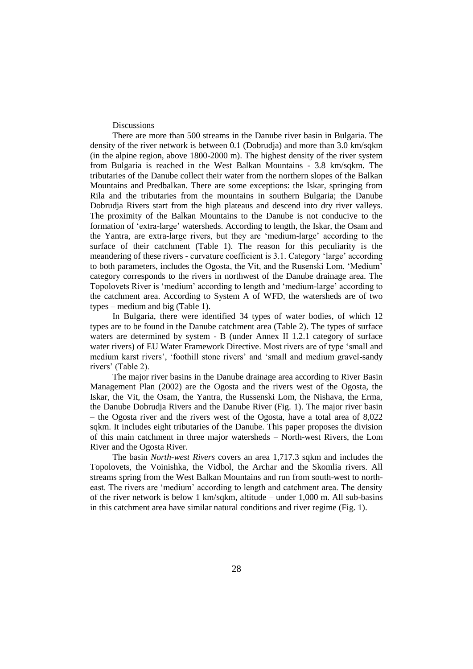**Discussions** 

There are more than 500 streams in the Danube river basin in Bulgaria. The density of the river network is between 0.1 (Dobrudja) and more than 3.0 km/sqkm (in the alpine region, above 1800-2000 m). The highest density of the river system from Bulgaria is reached in the West Balkan Mountains - 3.8 km/sqkm. The tributaries of the Danube collect their water from the northern slopes of the Balkan Mountains and Predbalkan. There are some exceptions: the Iskar, springing from Rila and the tributaries from the mountains in southern Bulgaria; the Danube Dobrudja Rivers start from the high plateaus and descend into dry river valleys. The proximity of the Balkan Mountains to the Danube is not conducive to the formation of 'extra-large' watersheds. According to length, the Iskar, the Osam and the Yantra, are extra-large rivers, but they are 'medium-large' according to the surface of their catchment (Table 1). The reason for this peculiarity is the meandering of these rivers - curvature coefficient is 3.1. Category 'large' according to both parameters, includes the Ogosta, the Vit, and the Rusenski Lom. 'Medium' category corresponds to the rivers in northwest of the Danube drainage area. The Topolovets River is 'medium' according to length and 'medium-large' according to the catchment area. According to System A of WFD, the watersheds are of two types – medium and big (Table 1).

In Bulgaria, there were identified 34 types of water bodies, of which 12 types are to be found in the Danube catchment area (Table 2). The types of surface waters are determined by system - B (under Annex II 1.2.1 category of surface water rivers) of EU Water Framework Directive. Most rivers are of type 'small and medium karst rivers', 'foothill stone rivers' and 'small and medium gravel-sandy rivers' (Table 2).

The major river basins in the Danube drainage area according to River Basin Management Plan (2002) are the Ogosta and the rivers west of the Ogosta, the Iskar, the Vit, the Osam, the Yantra, the Russenski Lom, the Nishava, the Erma, the Danube Dobrudja Rivers and the Danube River (Fig. 1). The major river basin – the Ogosta river and the rivers west of the Ogosta, have a total area of 8,022 sqkm. It includes eight tributaries of the Danube. This paper proposes the division of this main catchment in three major watersheds – North-west Rivers, the Lom River and the Ogosta River.

The basin *North-west Rivers* covers an area 1,717.3 sqkm and includes the Topolovets, the Voinishka, the Vidbol, the Archar and the Skomlia rivers. All streams spring from the West Balkan Mountains and run from south-west to northeast. The rivers are 'medium' according to length and catchment area. The density of the river network is below 1 km/sqkm, altitude – under 1,000 m. All sub-basins in this catchment area have similar natural conditions and river regime (Fig. 1).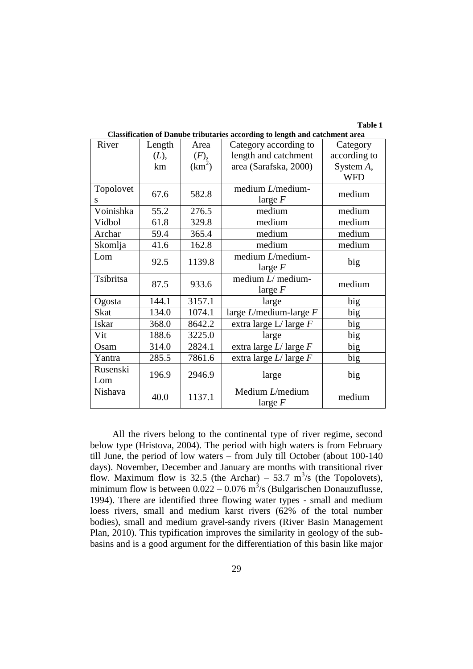**Table 1**

| Classification of Danube tributaries according to length and catchment area |        |                    |                                 |              |  |
|-----------------------------------------------------------------------------|--------|--------------------|---------------------------------|--------------|--|
| River                                                                       | Length | Area               | Category according to           | Category     |  |
|                                                                             | (L),   | (F),               | length and catchment            | according to |  |
|                                                                             | km     | (km <sup>2</sup> ) | area (Sarafska, 2000)           | System A,    |  |
|                                                                             |        |                    |                                 | <b>WFD</b>   |  |
| Topolovet                                                                   | 67.6   | 582.8              | medium $L$ /medium-             |              |  |
| S                                                                           |        |                    | large $F$                       | medium       |  |
| Voinishka                                                                   | 55.2   | 276.5              | medium                          | medium       |  |
| Vidbol                                                                      | 61.8   | 329.8              | medium                          | medium       |  |
| Archar                                                                      | 59.4   | 365.4              | medium                          | medium       |  |
| Skomlja                                                                     | 41.6   | 162.8              | medium                          | medium       |  |
| Lom                                                                         |        |                    | medium $L$ /medium-             |              |  |
|                                                                             | 92.5   | 1139.8             | large $F$                       | big          |  |
| Tsibritsa                                                                   | 87.5   | 933.6              | medium $L$ medium-              | medium       |  |
|                                                                             |        |                    | large $F$                       |              |  |
| Ogosta                                                                      | 144.1  | 3157.1             | large                           | big          |  |
| <b>Skat</b>                                                                 | 134.0  | 1074.1             | large $L$ /medium-large $F$     | big          |  |
| Iskar                                                                       | 368.0  | 8642.2             | extra large $L/$ large $F$      | big          |  |
| Vit                                                                         | 188.6  | 3225.0             | large                           | big          |  |
| Osam                                                                        | 314.0  | 2824.1             | extra large $L/$ large $F$      | big          |  |
| Yantra                                                                      | 285.5  | 7861.6             | extra large $L/$ large $F$      | big          |  |
| Rusenski                                                                    | 196.9  | 2946.9             | large                           | big          |  |
| Lom                                                                         |        |                    |                                 |              |  |
| Nishava                                                                     | 40.0   | 1137.1             | Medium $L/m$ edium<br>large $F$ | medium       |  |

**Classification of Danube tributaries according to length and catchment area**

All the rivers belong to the continental type of river regime, second below type (Hristova, 2004). The period with high waters is from February till June, the period of low waters – from July till October (about 100-140 days). November, December and January are months with transitional river flow. Maximum flow is 32.5 (the Archar) – 53.7 m<sup>3</sup>/s (the Topolovets), minimum flow is between  $0.022 - 0.076$  m<sup>3</sup>/s (Bulgarischen Donauzuflusse, 1994). There are identified three flowing water types *-* small and medium loess rivers, small and medium karst rivers (62% of the total number bodies), small and medium gravel-sandy rivers (River Basin Management Plan, 2010). This typification improves the similarity in geology of the subbasins and is a good argument for the differentiation of this basin like major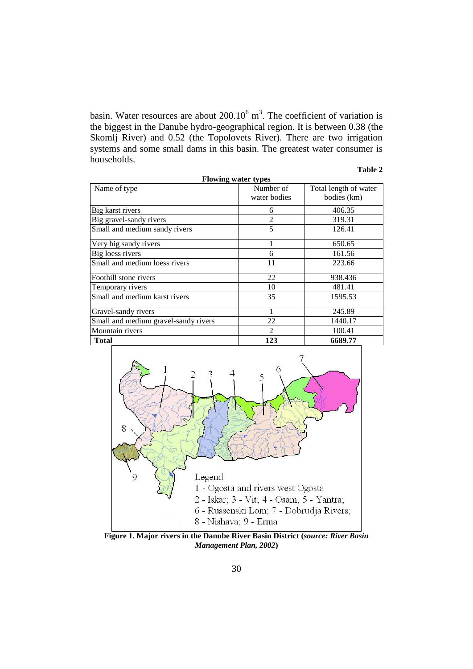basin. Water resources are about  $200.10^6$  m<sup>3</sup>. The coefficient of variation is the biggest in the Danube hydro-geographical region. It is between 0.38 (the Skomlj River) and 0.52 (the Topolovets River). There are two irrigation systems and some small dams in this basin. The greatest water consumer is households.

## **Table 2**

| <b>Flowing water types</b>           |                |                       |  |  |
|--------------------------------------|----------------|-----------------------|--|--|
| Name of type                         | Number of      | Total length of water |  |  |
|                                      | water bodies   | bodies (km)           |  |  |
| Big karst rivers                     | 6              | 406.35                |  |  |
| Big gravel-sandy rivers              | $\overline{2}$ | 319.31                |  |  |
| Small and medium sandy rivers        | 5              | 126.41                |  |  |
| Very big sandy rivers                |                | 650.65                |  |  |
| Big loess rivers                     | 6              | 161.56                |  |  |
| Small and medium loess rivers        | 11             | 223.66                |  |  |
| Foothill stone rivers                | 22             | 938.436               |  |  |
| Temporary rivers                     | 10             | 481.41                |  |  |
| Small and medium karst rivers        | 35             | 1595.53               |  |  |
| Gravel-sandy rivers                  | 1              | 245.89                |  |  |
| Small and medium gravel-sandy rivers | 22             | 1440.17               |  |  |
| Mountain rivers                      | $\mathfrak{D}$ | 100.41                |  |  |
| <b>Total</b>                         | 123            | 6689.77               |  |  |



**Figure 1. Major rivers in the Danube River Basin District (***source: River Basin Management Plan, 2002***)**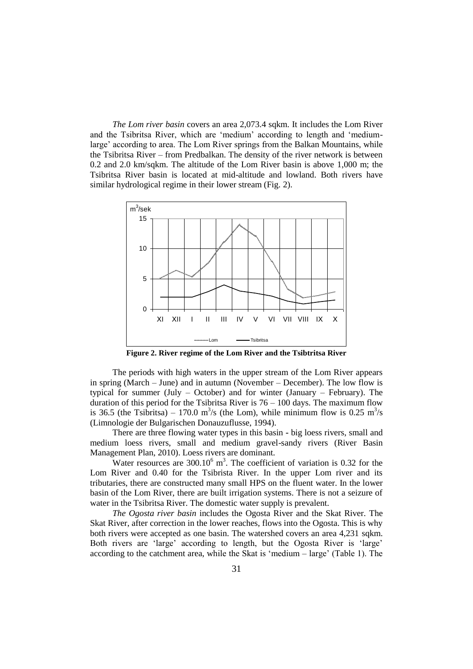*The Lom river basin* covers an area 2,073.4 sqkm. It includes the Lom River and the Tsibritsa River, which are 'medium' according to length and 'mediumlarge' according to area. The Lom River springs from the Balkan Mountains, while the Tsibritsa River – from Predbalkan. The density of the river network is between 0.2 and 2.0 km/sqkm. The altitude of the Lom River basin is above 1,000 m; the Tsibritsa River basin is located at mid-altitude and lowland. Both rivers have similar hydrological regime in their lower stream (Fig. 2).



**Figure 2. River regime of the Lom River and the Tsibtritsa River**

The periods with high waters in the upper stream of the Lom River appears in spring (March – June) and in autumn (November – December). The low flow is typical for summer (July – October) and for winter (January – February). The duration of this period for the Tsibritsa River is  $76 - 100$  days. The maximum flow is 36.5 (the Tsibritsa) – 170.0 m<sup>3</sup>/s (the Lom), while minimum flow is 0.25 m<sup>3</sup>/s (Limnologie der Bulgarischen Donauzuflusse, 1994).

There are three flowing water types in this basin **-** big loess rivers, small and medium loess rivers, small and medium gravel-sandy rivers (River Basin Management Plan, 2010). Loess rivers are dominant.

Water resources are  $300.10^6$  m<sup>3</sup>. The coefficient of variation is 0.32 for the Lom River and 0.40 for the Tsibrista River. In the upper Lom river and its tributaries, there are constructed many small HPS on the fluent water. In the lower basin of the Lom River, there are built irrigation systems. There is not a seizure of water in the Tsibritsa River. The domestic water supply is prevalent.

*The Ogosta river basin* includes the Ogosta River and the Skat River. The Skat River, after correction in the lower reaches, flows into the Ogosta. This is why both rivers were accepted as one basin. The watershed covers an area 4,231 sqkm. Both rivers are 'large' according to length, but the Ogosta River is 'large' according to the catchment area, while the Skat is 'medium – large' (Table 1). The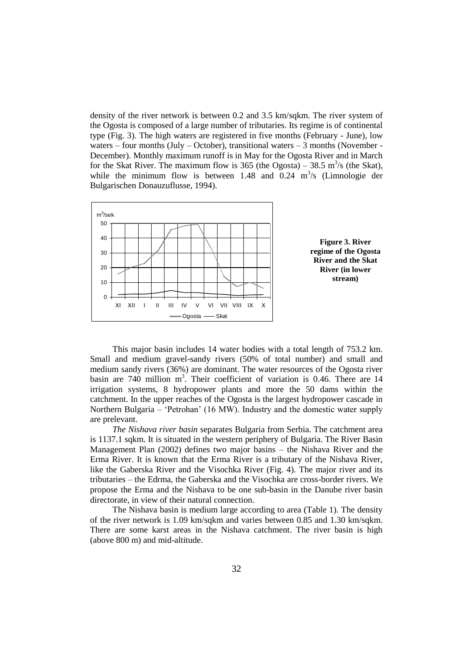density of the river network is between 0.2 and 3.5 km/sqkm. The river system of the Ogosta is composed of a large number of tributaries. Its regime is of continental type (Fig. 3). The high waters are registered in five months (February - June), low waters – four months (July – October), transitional waters – 3 months (November -December). Monthly maximum runoff is in May for the Ogosta River and in March for the Skat River. The maximum flow is 365 (the Ogosta) – 38.5 m<sup>3</sup>/s (the Skat), while the minimum flow is between 1.48 and  $0.24 \text{ m}^3/\text{s}$  (Limnologie der Bulgarischen Donauzuflusse, 1994).



This major basin includes 14 water bodies with a total length of 753.2 km. Small and medium gravel-sandy rivers (50% of total number) and small and medium sandy rivers (36%) are dominant. The water resources of the Ogosta river basin are  $740$  million m<sup>3</sup>. Their coefficient of variation is 0.46. There are 14 irrigation systems, 8 hydropower plants and more the 50 dams within the catchment. In the upper reaches of the Ogosta is the largest hydropower cascade in Northern Bulgaria – 'Petrohan' (16 MW). Industry and the domestic water supply are prelevant.

*The Nishava river basin* separates Bulgaria from Serbia. The catchment area is 1137.1 sqkm. It is situated in the western periphery of Bulgaria. The River Basin Management Plan (2002) defines two major basins – the Nishava River and the Erma River. It is known that the Erma River is a tributary of the Nishava River, like the Gaberska River and the Visochka River (Fig. 4). The major river and its tributaries – the Edrma, the Gaberska and the Visochka are cross-border rivers. We propose the Erma and the Nishava to be one sub-basin in the Danube river basin directorate, in view of their natural connection.

The Nishava basin is medium large according to area (Table 1). The density of the river network is 1.09 km/sqkm and varies between 0.85 and 1.30 km/sqkm. There are some karst areas in the Nishava catchment. The river basin is high (above 800 m) and mid-altitude.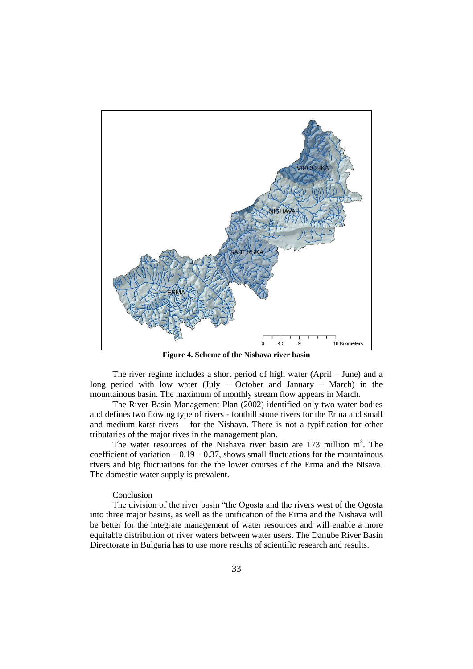

**Figure 4. Scheme of the Nishava river basin**

The river regime includes a short period of high water (April – June) and a long period with low water (July – October and January – March) in the mountainous basin. The maximum of monthly stream flow appears in March.

The River Basin Management Plan (2002) identified only two water bodies and defines two flowing type of rivers - foothill stone rivers for the Erma and small and medium karst rivers – for the Nishava. There is not a typification for other tributaries of the major rives in the management plan.

The water resources of the Nishava river basin are  $173$  million m<sup>3</sup>. The coefficient of variation  $-0.19 - 0.37$ , shows small fluctuations for the mountainous rivers and big fluctuations for the the lower courses of the Erma and the Nisava. The domestic water supply is prevalent.

#### Conclusion

The division of the river basin "the Ogosta and the rivers west of the Ogosta into three major basins, as well as the unification of the Erma and the Nishava will be better for the integrate management of water resources and will enable a more equitable distribution of river waters between water users. The Danube River Basin Directorate in Bulgaria has to use more results of scientific research and results.